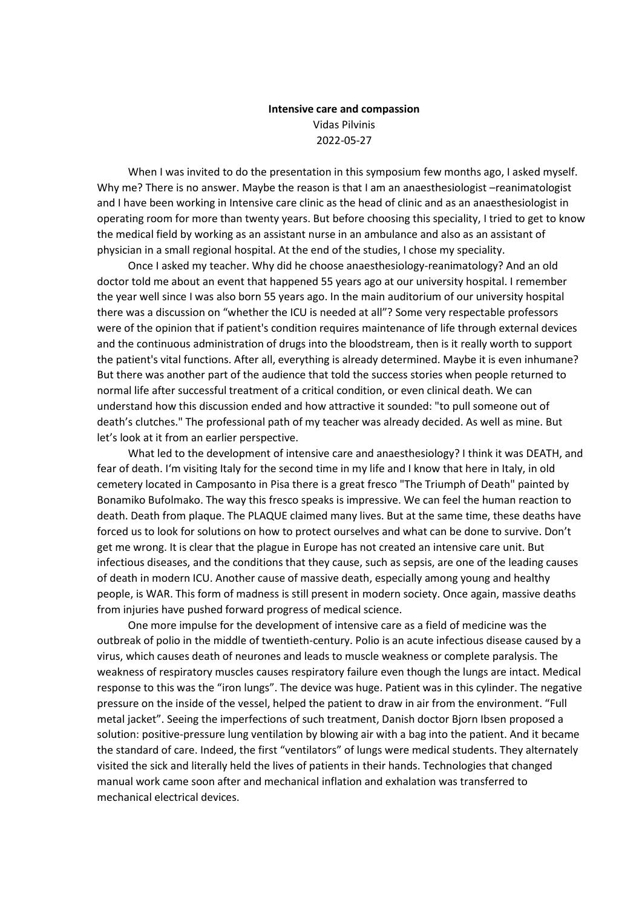## **Intensive care and compassion** Vidas Pilvinis 2022-05-27

When I was invited to do the presentation in this symposium few months ago, I asked myself. Why me? There is no answer. Maybe the reason is that I am an anaesthesiologist –reanimatologist and I have been working in Intensive care clinic as the head of clinic and as an anaesthesiologist in operating room for more than twenty years. But before choosing this speciality, I tried to get to know the medical field by working as an assistant nurse in an ambulance and also as an assistant of physician in a small regional hospital. At the end of the studies, I chose my speciality.

Once I asked my teacher. Why did he choose anaesthesiology-reanimatology? And an old doctor told me about an event that happened 55 years ago at our university hospital. I remember the year well since I was also born 55 years ago. In the main auditorium of our university hospital there was a discussion on "whether the ICU is needed at all"? Some very respectable professors were of the opinion that if patient's condition requires maintenance of life through external devices and the continuous administration of drugs into the bloodstream, then is it really worth to support the patient's vital functions. After all, everything is already determined. Maybe it is even inhumane? But there was another part of the audience that told the success stories when people returned to normal life after successful treatment of a critical condition, or even clinical death. We can understand how this discussion ended and how attractive it sounded: "to pull someone out of death's clutches." The professional path of my teacher was already decided. As well as mine. But let's look at it from an earlier perspective.

What led to the development of intensive care and anaesthesiology? I think it was DEATH, and fear of death. I'm visiting Italy for the second time in my life and I know that here in Italy, in old cemetery located in Camposanto in Pisa there is a great fresco "The Triumph of Death" painted by Bonamiko Bufolmako. The way this fresco speaks is impressive. We can feel the human reaction to death. Death from plaque. The PLAQUE claimed many lives. But at the same time, these deaths have forced us to look for solutions on how to protect ourselves and what can be done to survive. Don't get me wrong. It is clear that the plague in Europe has not created an intensive care unit. But infectious diseases, and the conditions that they cause, such as sepsis, are one of the leading causes of death in modern ICU. Another cause of massive death, especially among young and healthy people, is WAR. This form of madness is still present in modern society. Once again, massive deaths from injuries have pushed forward progress of medical science.

One more impulse for the development of intensive care as a field of medicine was the outbreak of polio in the middle of twentieth-century. Polio is an acute infectious disease caused by a virus, which causes death of neurones and leads to muscle weakness or complete paralysis. The weakness of respiratory muscles causes respiratory failure even though the lungs are intact. Medical response to this was the "iron lungs". The device was huge. Patient was in this cylinder. The negative pressure on the inside of the vessel, helped the patient to draw in air from the environment. "Full metal jacket". Seeing the imperfections of such treatment, Danish doctor Bjorn Ibsen proposed a solution: positive-pressure lung ventilation by blowing air with a bag into the patient. And it became the standard of care. Indeed, the first "ventilators" of lungs were medical students. They alternately visited the sick and literally held the lives of patients in their hands. Technologies that changed manual work came soon after and mechanical inflation and exhalation was transferred to mechanical electrical devices.